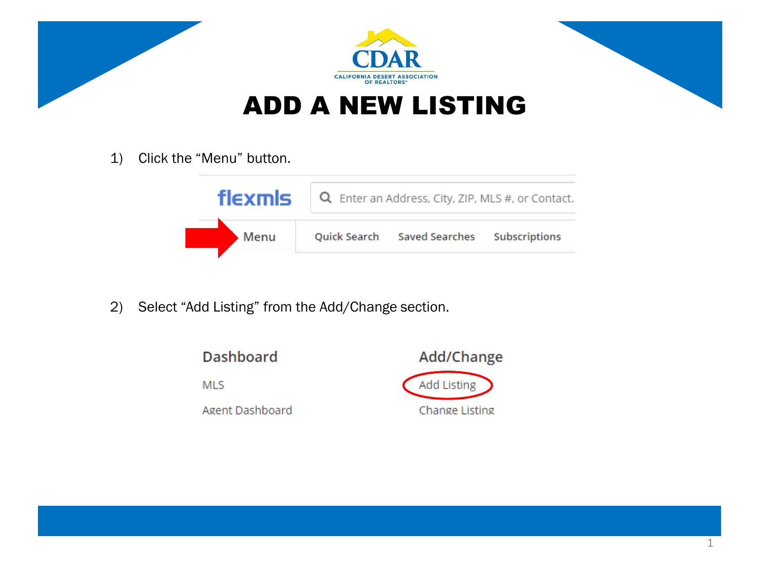

1) Click the "Menu" button.

| flexmls | $\overline{Q}$ Enter an Address, City, ZIP, MLS #, or Contact. |  |  |  |  |  |
|---------|----------------------------------------------------------------|--|--|--|--|--|
| Menu    | Quick Search Saved Searches Subscriptions                      |  |  |  |  |  |

2) Select "Add Listing" from the Add/Change section.

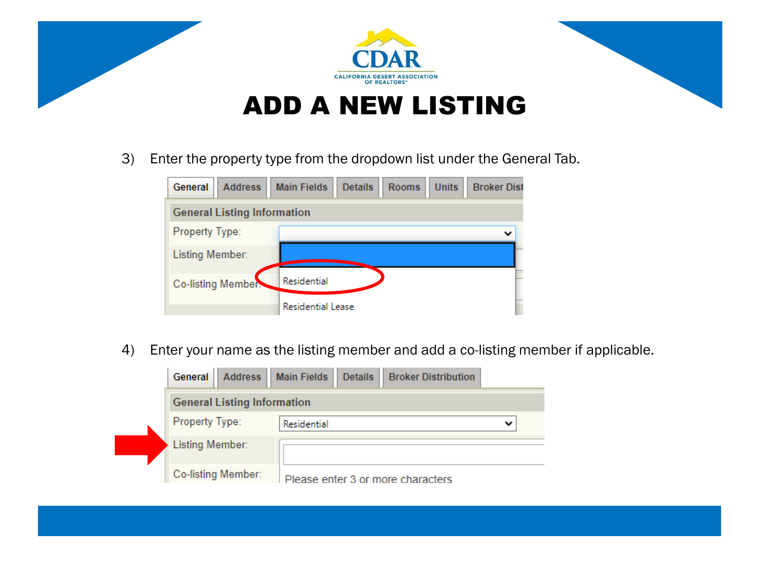

3) Enter the property type from the dropdown list under the General Tab.

| General<br><b>Address</b>          | <b>Main Fields</b><br><b>Details</b><br><b>Units</b><br><b>Broker Dist</b><br><b>Rooms</b> |  |  |  |  |  |  |  |
|------------------------------------|--------------------------------------------------------------------------------------------|--|--|--|--|--|--|--|
| <b>General Listing Information</b> |                                                                                            |  |  |  |  |  |  |  |
| Property Type:                     |                                                                                            |  |  |  |  |  |  |  |
| Listing Member:                    |                                                                                            |  |  |  |  |  |  |  |
| Co-listing Member:                 | Residential                                                                                |  |  |  |  |  |  |  |
|                                    | <b>Residential Lease</b>                                                                   |  |  |  |  |  |  |  |

4) Enter your name as the listing member and add a co-listing member if applicable.

| Address  <br>General               | <b>Main Fields</b><br><b>Details</b><br><b>Broker Distribution</b> |   |  |  |  |
|------------------------------------|--------------------------------------------------------------------|---|--|--|--|
| <b>General Listing Information</b> |                                                                    |   |  |  |  |
| Property Type:                     | Residential                                                        | v |  |  |  |
| <b>Listing Member:</b>             |                                                                    |   |  |  |  |
| Co-listing Member:                 | Please enter 3 or more characters                                  |   |  |  |  |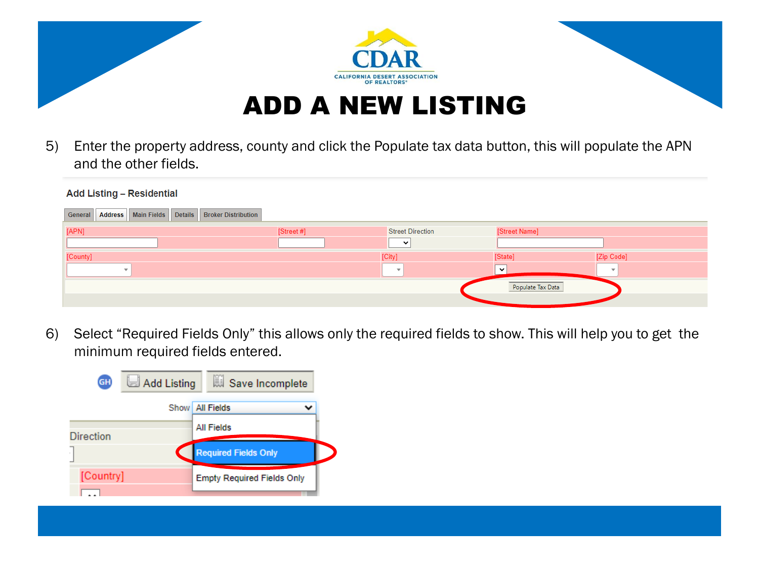

5) Enter the property address, county and click the Populate tax data button, this will populate the APN and the other fields.

| $1.44$ and this international state $\frac{1}{2}$                        |            |                         |                   |                          |
|--------------------------------------------------------------------------|------------|-------------------------|-------------------|--------------------------|
| Address   Main Fields   Details<br><b>Broker Distribution</b><br>General |            |                         |                   |                          |
| [APN]                                                                    | [Street #] | <b>Street Direction</b> | [Street Name]     |                          |
|                                                                          |            | $\checkmark$            |                   |                          |
| [County]                                                                 |            | [City]                  | [State]           | [Zip Code]               |
|                                                                          |            | $\rightarrow$           | $\checkmark$      | $\overline{\phantom{a}}$ |
|                                                                          |            |                         | Populate Tax Data |                          |
|                                                                          |            |                         |                   |                          |

6) Select "Required Fields Only" this allows only the required fields to show. This will help you to get the minimum required fields entered.

| GH)              | Add Listing | Save Incomplete                   |  |
|------------------|-------------|-----------------------------------|--|
|                  |             | Show   All Fields                 |  |
| <b>Direction</b> |             | <b>All Fields</b>                 |  |
|                  |             | <b>Required Fields Only</b>       |  |
| [Country]        |             | <b>Empty Required Fields Only</b> |  |
|                  |             |                                   |  |

Add Listing - Residential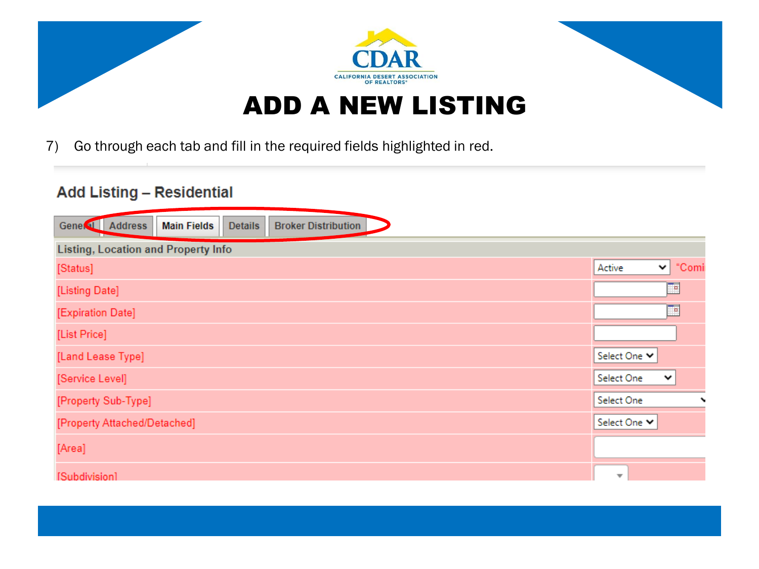

7) Go through each tab and fill in the required fields highlighted in red.

## **Add Listing - Residential**

| Gene <sup>(a)</sup> Address                | <b>Main Fields</b> | <b>Details</b> | <b>Broker Distribution</b> |  |  |                         |              |             |
|--------------------------------------------|--------------------|----------------|----------------------------|--|--|-------------------------|--------------|-------------|
| <b>Listing, Location and Property Info</b> |                    |                |                            |  |  |                         |              |             |
| [Status]                                   |                    |                |                            |  |  | Active                  | $\checkmark$ | "Comi       |
| [Listing Date]                             |                    |                |                            |  |  |                         |              | −           |
| [Expiration Date]                          |                    |                |                            |  |  |                         |              | ≕           |
| [List Price]                               |                    |                |                            |  |  |                         |              |             |
| [Land Lease Type]                          |                    |                |                            |  |  | Select One Y            |              |             |
| [Service Level]                            |                    |                |                            |  |  | Select One              |              | $\check{~}$ |
| [Property Sub-Type]                        |                    |                |                            |  |  | Select One              |              |             |
| [Property Attached/Detached]               |                    |                |                            |  |  | Select One Y            |              |             |
| [Area]                                     |                    |                |                            |  |  |                         |              |             |
| [Subdivision]                              |                    |                |                            |  |  | $\overline{\mathbf{v}}$ |              |             |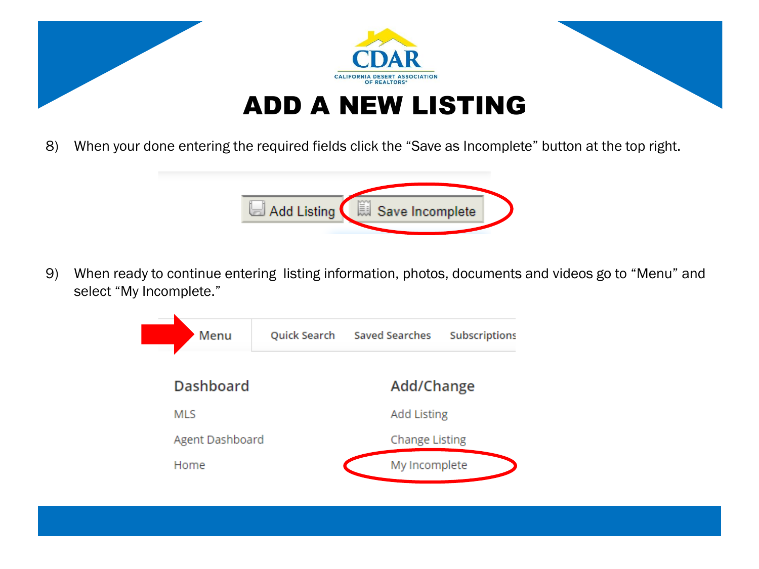

8) When your done entering the required fields click the "Save as Incomplete" button at the top right.



9) When ready to continue entering listing information, photos, documents and videos go to "Menu" and select "My Incomplete."

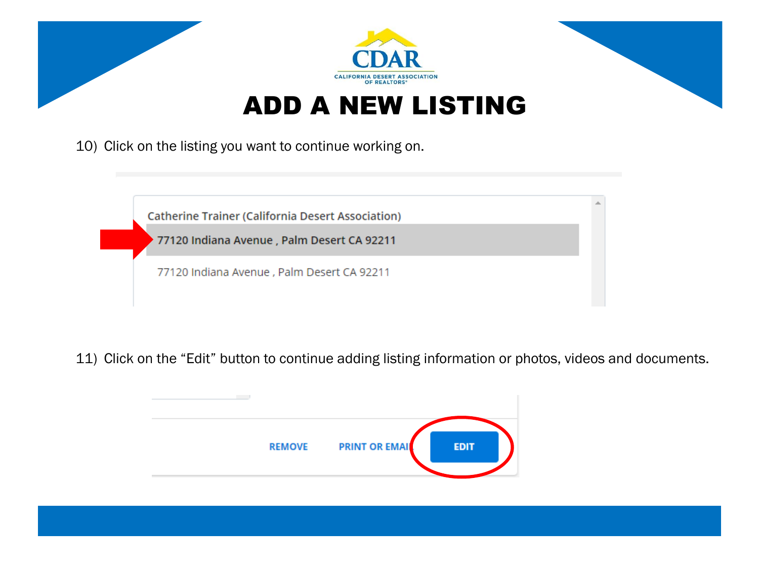

10) Click on the listing you want to continue working on.



11) Click on the "Edit" button to continue adding listing information or photos, videos and documents.

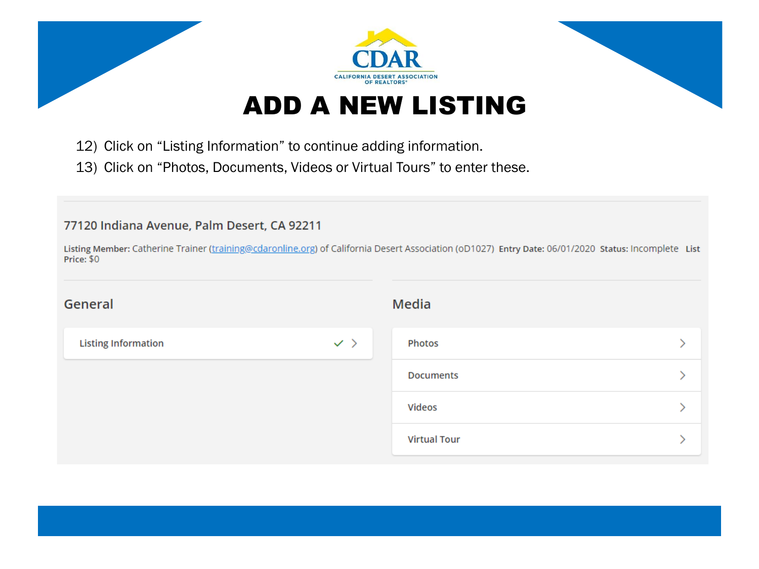

- 12) Click on "Listing Information" to continue adding information.
- 13) Click on "Photos, Documents, Videos or Virtual Tours" to enter these.

## 77120 Indiana Avenue, Palm Desert, CA 92211

Listing Member: Catherine Trainer (training@cdaronline.org) of California Desert Association (oD1027) Entry Date: 06/01/2020 Status: Incomplete List Price: \$0

| General                    |                | Media               |  |  |  |
|----------------------------|----------------|---------------------|--|--|--|
| <b>Listing Information</b> | $\checkmark$ ) | Photos              |  |  |  |
|                            |                | <b>Documents</b>    |  |  |  |
|                            |                | Videos              |  |  |  |
|                            |                | <b>Virtual Tour</b> |  |  |  |